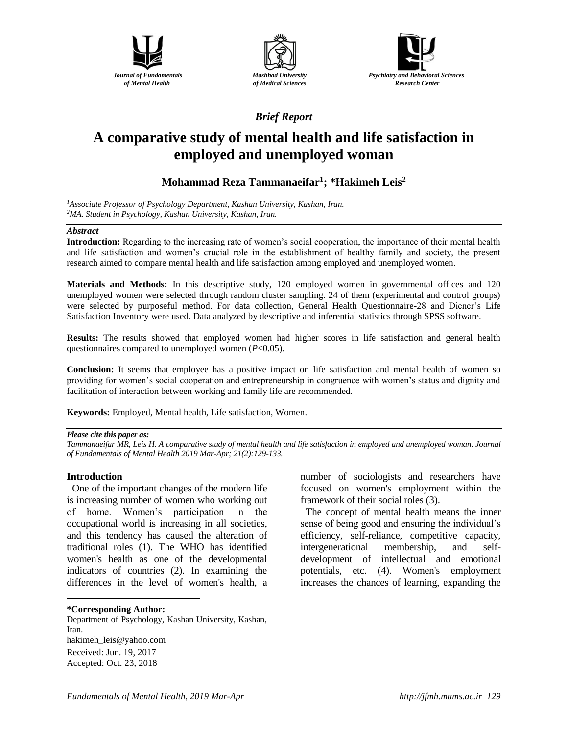





*Brief Report*

# **A comparative study of mental health and life satisfaction in employed and unemployed woman**

# **Mohammad Reza Tammanaeifar<sup>1</sup> ; \*Hakimeh Leis<sup>2</sup>**

*<sup>1</sup>Associate Professor of Psychology Department, Kashan University, Kashan, Iran. <sup>2</sup>MA. Student in Psychology, Kashan University, Kashan, Iran.*

### *Abstract*

**Introduction:** Regarding to the increasing rate of women's social cooperation, the importance of their mental health and life satisfaction and women's crucial role in the establishment of healthy family and society, the present research aimed to compare mental health and life satisfaction among employed and unemployed women.

**Materials and Methods:** In this descriptive study, 120 employed women in governmental offices and 120 unemployed women were selected through random cluster sampling. 24 of them (experimental and control groups) were selected by purposeful method. For data collection, General Health Questionnaire-28 and Diener's Life Satisfaction Inventory were used. Data analyzed by descriptive and inferential statistics through SPSS software.

**Results:** The results showed that employed women had higher scores in life satisfaction and general health questionnaires compared to unemployed women (*P*<0.05).

**Conclusion:** It seems that employee has a positive impact on life satisfaction and mental health of women so providing for women's social cooperation and entrepreneurship in congruence with women's status and dignity and facilitation of interaction between working and family life are recommended.

**Keywords:** Employed, Mental health, Life satisfaction, Women.

### *Please cite this paper as:*

*Tammanaeifar MR, Leis H. A comparative study of mental health and life satisfaction in employed and unemployed woman. Journal of Fundamentals of Mental Health 2019 Mar-Apr; 21(2):129-133.*

### **Introduction**

One of the important changes of the modern life is increasing number of women who working out of home. Women's participation in the occupational world is increasing in all societies, and this tendency has caused the alteration of traditional roles (1). The WHO has identified women's health as one of the developmental indicators of countries (2). In examining the differences in the level of women's health, a

#### **\*Corresponding Author:**

 $\overline{a}$ 

Department of Psychology, Kashan University, Kashan, Iran. [hakimeh\\_leis@yahoo.com](mailto:hakimeh_leis@yahoo.com) Received: Jun. 19, 2017 Accepted: Oct. 23, 2018

number of sociologists and researchers have focused on women's employment within the framework of their social roles (3).

The concept of mental health means the inner sense of being good and ensuring the individual's efficiency, self-reliance, competitive capacity, intergenerational membership, and selfdevelopment of intellectual and emotional potentials, etc. (4). Women's employment increases the chances of learning, expanding the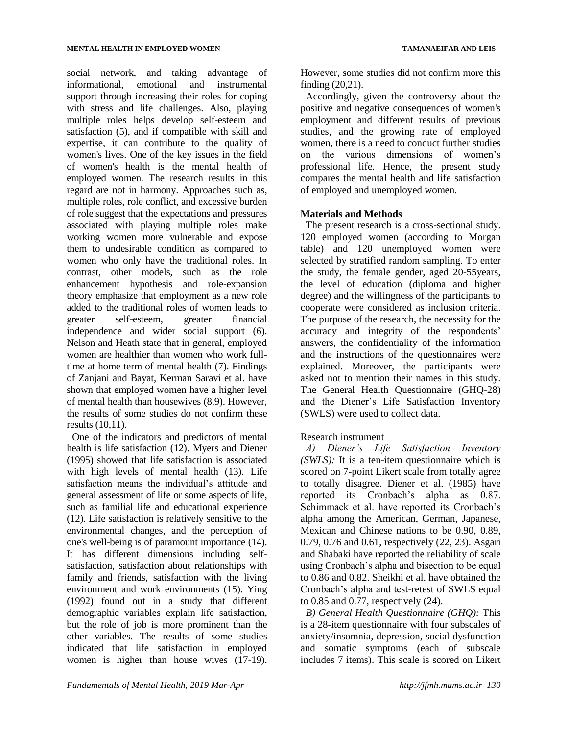social network, and taking advantage of informational, emotional and instrumental support through increasing their roles for coping with stress and life challenges. Also, playing multiple roles helps develop self-esteem and satisfaction (5), and if compatible with skill and expertise, it can contribute to the quality of women's lives. One of the key issues in the field of women's health is the mental health of employed women. The research results in this regard are not in harmony. Approaches such as, multiple roles, role conflict, and excessive burden of role suggest that the expectations and pressures associated with playing multiple roles make working women more vulnerable and expose them to undesirable condition as compared to women who only have the traditional roles. In contrast, other models, such as the role enhancement hypothesis and role-expansion theory emphasize that employment as a new role added to the traditional roles of women leads to greater self-esteem, greater financial independence and wider social support (6). Nelson and Heath state that in general, employed women are healthier than women who work fulltime at home term of mental health (7). Findings of Zanjani and Bayat, Kerman Saravi et al. have shown that employed women have a higher level of mental health than housewives (8,9). However, the results of some studies do not confirm these results (10,11).

One of the indicators and predictors of mental health is life satisfaction (12). Myers and Diener (1995) showed that life satisfaction is associated with high levels of mental health (13). Life satisfaction means the individual's attitude and general assessment of life or some aspects of life, such as familial life and educational experience (12). Life satisfaction is relatively sensitive to the environmental changes, and the perception of one's well-being is of paramount importance (14). It has different dimensions including selfsatisfaction, satisfaction about relationships with family and friends, satisfaction with the living environment and work environments (15). Ying (1992) found out in a study that different demographic variables explain life satisfaction, but the role of job is more prominent than the other variables. The results of some studies indicated that life satisfaction in employed women is higher than house wives (17-19).

However, some studies did not confirm more this finding (20,21).

Accordingly, given the controversy about the positive and negative consequences of women's employment and different results of previous studies, and the growing rate of employed women, there is a need to conduct further studies on the various dimensions of women's professional life. Hence, the present study compares the mental health and life satisfaction of employed and unemployed women.

## **Materials and Methods**

The present research is a cross-sectional study. 120 employed women (according to Morgan table) and 120 unemployed women were selected by stratified random sampling. To enter the study, the female gender, aged 20-55years, the level of education (diploma and higher degree) and the willingness of the participants to cooperate were considered as inclusion criteria. The purpose of the research, the necessity for the accuracy and integrity of the respondents' answers, the confidentiality of the information and the instructions of the questionnaires were explained. Moreover, the participants were asked not to mention their names in this study. The General Health Questionnaire (GHQ-28) and the Diener's Life Satisfaction Inventory (SWLS) were used to collect data.

## Research instrument

*A) Diener's Life Satisfaction Inventory (SWLS):* It is a ten-item questionnaire which is scored on 7-point Likert scale from totally agree to totally disagree. Diener et al. (1985) have reported its Cronbach's alpha as 0.87. Schimmack et al. have reported its Cronbach's alpha among the American, German, Japanese, Mexican and Chinese nations to be 0.90, 0.89, 0.79, 0.76 and 0.61, respectively (22, 23). Asgari and Shabaki have reported the reliability of scale using Cronbach's alpha and bisection to be equal to 0.86 and 0.82. Sheikhi et al. have obtained the Cronbach's alpha and test-retest of SWLS equal to 0.85 and 0.77, respectively (24).

*B) General Health Questionnaire (GHQ):* This is a 28-item questionnaire with four subscales of anxiety/insomnia, depression, social dysfunction and somatic symptoms (each of subscale includes 7 items). This scale is scored on Likert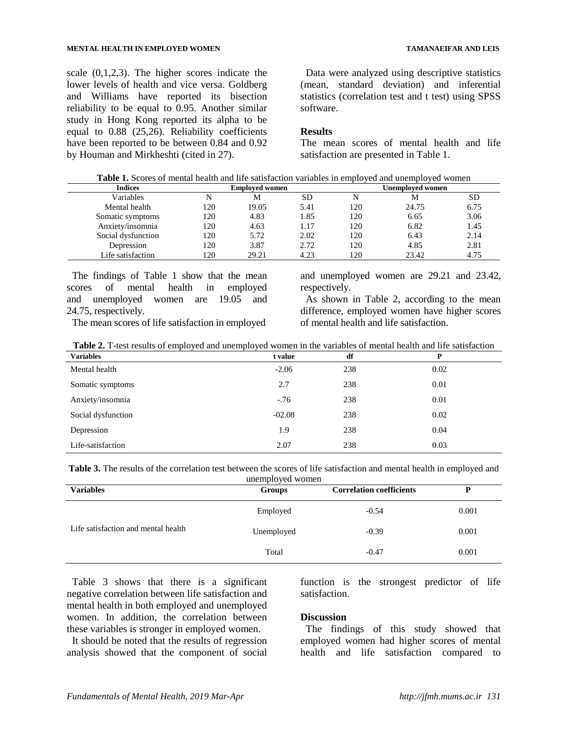#### **MENTAL HEALTH IN EMPLOYED WOMEN TAMANAEIFAR AND LEIS**

scale (0,1,2,3). The higher scores indicate the lower levels of health and vice versa. Goldberg and Williams have reported its bisection reliability to be equal to 0.95. Another similar study in Hong Kong reported its alpha to be equal to 0.88 (25,26). Reliability coefficients have been reported to be between 0.84 and 0.92 by Houman and Mirkheshti (cited in 27).

Data were analyzed using descriptive statistics (mean, standard deviation) and inferential statistics (correlation test and t test) using SPSS software.

### **Results**

The mean scores of mental health and life satisfaction are presented in Table 1.

| <b>Indices</b>     | <b>Employed women</b> |       |      | Unemploved women |       |           |
|--------------------|-----------------------|-------|------|------------------|-------|-----------|
| Variables          | N                     | М     | SD   | N                | М     | <b>SD</b> |
| Mental health      | 120                   | 19.05 | 5.41 | 120              | 24.75 | 6.75      |
| Somatic symptoms   | 120                   | 4.83  | 1.85 | 120              | 6.65  | 3.06      |
| Anxiety/insomnia   | 120                   | 4.63  | 1.17 | 120              | 6.82  | 1.45      |
| Social dysfunction | 120                   | 5.72  | 2.02 | 120              | 6.43  | 2.14      |
| Depression         | 120                   | 3.87  | 2.72 | 120              | 4.85  | 2.81      |
| Life satisfaction  | 120                   | 29.21 | 4.23 | 120              | 23.42 | 4.75      |

The findings of Table 1 show that the mean scores of mental health in employed and unemployed women are 19.05 and 24.75, respectively.

The mean scores of life satisfaction in employed

and unemployed women are 29.21 and 23.42, respectively.

As shown in Table 2, according to the mean difference, employed women have higher scores of mental health and life satisfaction.

| <b>Variables</b>   | t value  | df  | P    |
|--------------------|----------|-----|------|
| Mental health      | $-2.06$  | 238 | 0.02 |
| Somatic symptoms   | 2.7      | 238 | 0.01 |
| Anxiety/insomnia   | $-.76$   | 238 | 0.01 |
| Social dysfunction | $-02.08$ | 238 | 0.02 |
| Depression         | 1.9      | 238 | 0.04 |
| Life-satisfaction  | 2.07     | 238 | 0.03 |

| <b>Variables</b>                    | unemployed women<br><b>Groups</b> | <b>Correlation coefficients</b> |       |
|-------------------------------------|-----------------------------------|---------------------------------|-------|
|                                     | Employed                          | $-0.54$                         | 0.001 |
| Life satisfaction and mental health | Unemployed                        | $-0.39$                         | 0.001 |
|                                     | Total                             | $-0.47$                         | 0.001 |

Table 3 shows that there is a significant negative correlation between life satisfaction and mental health in both employed and unemployed women. In addition, the correlation between these variables is stronger in employed women.

It should be noted that the results of regression analysis showed that the component of social function is the strongest predictor of life satisfaction.

### **Discussion**

The findings of this study showed that employed women had higher scores of mental health and life satisfaction compared to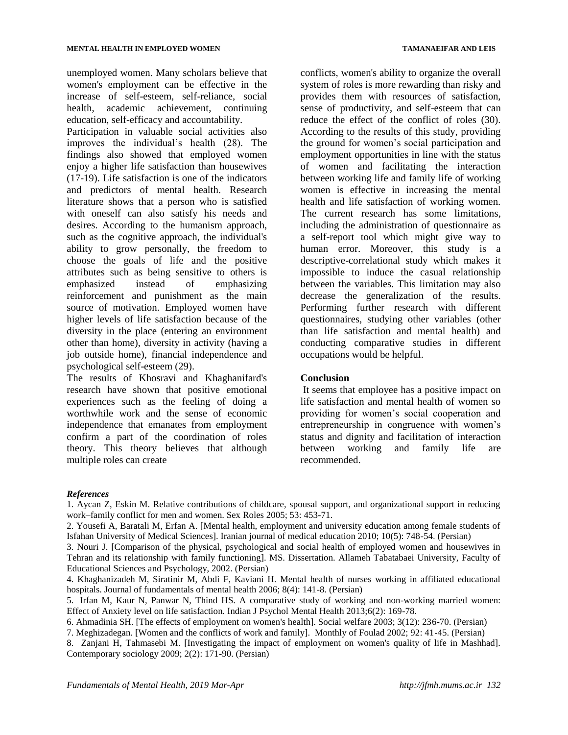unemployed women. Many scholars believe that women's employment can be effective in the increase of self-esteem, self-reliance, social health, academic achievement, continuing education, self-efficacy and accountability.

Participation in valuable social activities also improves the individual's health (28). The findings also showed that employed women enjoy a higher life satisfaction than housewives (17-19). Life satisfaction is one of the indicators and predictors of mental health. Research literature shows that a person who is satisfied with oneself can also satisfy his needs and desires. According to the humanism approach, such as the cognitive approach, the individual's ability to grow personally, the freedom to choose the goals of life and the positive attributes such as being sensitive to others is emphasized instead of emphasizing reinforcement and punishment as the main source of motivation. Employed women have higher levels of life satisfaction because of the diversity in the place (entering an environment other than home), diversity in activity (having a job outside home), financial independence and psychological self-esteem (29).

The results of Khosravi and Khaghanifard's research have shown that positive emotional experiences such as the feeling of doing a worthwhile work and the sense of economic independence that emanates from employment confirm a part of the coordination of roles theory. This theory believes that although multiple roles can create

conflicts, women's ability to organize the overall system of roles is more rewarding than risky and provides them with resources of satisfaction, sense of productivity, and self-esteem that can reduce the effect of the conflict of roles (30). According to the results of this study, providing the ground for women's social participation and employment opportunities in line with the status of women and facilitating the interaction between working life and family life of working women is effective in increasing the mental health and life satisfaction of working women. The current research has some limitations, including the administration of questionnaire as a self-report tool which might give way to human error. Moreover, this study is a descriptive-correlational study which makes it impossible to induce the casual relationship between the variables. This limitation may also decrease the generalization of the results. Performing further research with different

questionnaires, studying other variables (other than life satisfaction and mental health) and conducting comparative studies in different occupations would be helpful.

### **Conclusion**

It seems that employee has a positive impact on life satisfaction and mental health of women so providing for women's social cooperation and entrepreneurship in congruence with women's status and dignity and facilitation of interaction between working and family life are recommended.

### *References*

1. Aycan Z, Eskin M. Relative contributions of childcare, spousal support, and organizational support in reducing work–family conflict for men and women. Sex Roles 2005; 53: 453-71.

2. Yousefi A, Baratali M, Erfan A. [Mental health, employment and university education among female students of Isfahan University of Medical Sciences]. Iranian journal of medical education 2010; 10(5): 748-54. (Persian)

3. Nouri J. [Comparison of the physical, psychological and social health of employed women and housewives in Tehran and its relationship with family functioning]. MS. Dissertation. Allameh Tabatabaei University, Faculty of Educational Sciences and Psychology, 2002. (Persian)

4. Khaghanizadeh M, Siratinir M, Abdi F, Kaviani H. Mental health of nurses working in affiliated educational hospitals. Journal of fundamentals of mental health 2006; 8(4): 141-8. (Persian)

5. Irfan M, Kaur N, Panwar N, Thind HS. A comparative study of working and non-working married women: Effect of Anxiety level on life satisfaction. Indian J Psychol Mental Health 2013;6(2): 169-78.

6. Ahmadinia SH. [The effects of employment on women's health]. Social welfare 2003; 3(12): 236-70. (Persian)

7. Meghizadegan. [Women and the conflicts of work and family]. Monthly of Foulad 2002; 92: 41-45. (Persian)

8. Zanjani H, Tahmasebi M. [Investigating the impact of employment on women's quality of life in Mashhad]. Contemporary sociology 2009; 2(2): 171-90. (Persian)